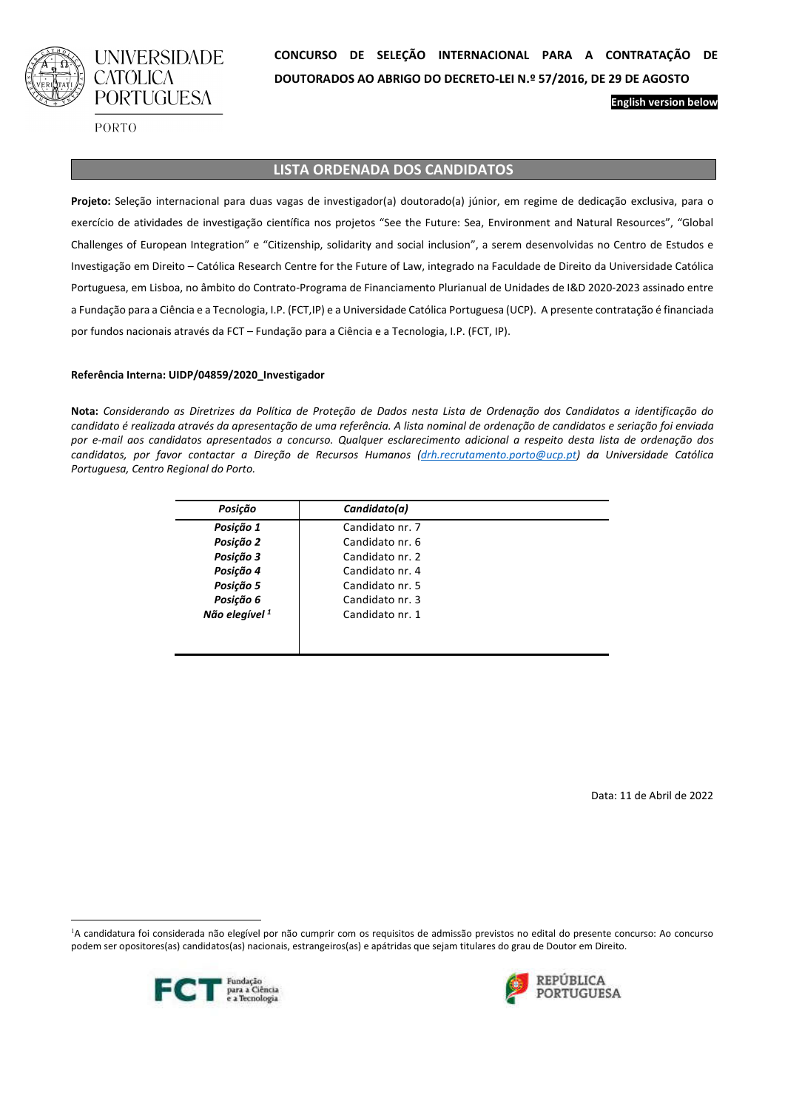

PORTO

### **LISTA ORDENADA DOS CANDIDATOS**

**Projeto:** Seleção internacional para duas vagas de investigador(a) doutorado(a) júnior, em regime de dedicação exclusiva, para o exercício de atividades de investigação científica nos projetos "See the Future: Sea, Environment and Natural Resources", "Global Challenges of European Integration" e "Citizenship, solidarity and social inclusion", a serem desenvolvidas no Centro de Estudos e Investigação em Direito – Católica Research Centre for the Future of Law, integrado na Faculdade de Direito da Universidade Católica Portuguesa, em Lisboa, no âmbito do Contrato-Programa de Financiamento Plurianual de Unidades de I&D 2020-2023 assinado entre a Fundação para a Ciência e a Tecnologia, I.P. (FCT,IP) e a Universidade Católica Portuguesa (UCP). A presente contratação é financiada por fundos nacionais através da FCT – Fundação para a Ciência e a Tecnologia, I.P. (FCT, IP).

#### **Referência Interna: UIDP/04859/2020\_Investigador**

**Nota:** *Considerando as Diretrizes da Política de Proteção de Dados nesta Lista de Ordenação dos Candidatos a identificação do candidato é realizada através da apresentação de uma referência. A lista nominal de ordenação de candidatos e seriação foi enviada por e-mail aos candidatos apresentados a concurso. Qualquer esclarecimento adicional a respeito desta lista de ordenação dos candidatos, por favor contactar a Direção de Recursos Humanos (drh.recrutamento.porto@ucp.pt) da Universidade Católica Portuguesa, Centro Regional do Porto.*

| Posição                   | Candidato(a)    |  |
|---------------------------|-----------------|--|
| Posição 1                 | Candidato nr. 7 |  |
| Posição 2                 | Candidato nr. 6 |  |
| Posição 3                 | Candidato nr. 2 |  |
| Posição 4                 | Candidato nr. 4 |  |
| Posição 5                 | Candidato nr. 5 |  |
| Posição 6                 | Candidato nr. 3 |  |
| Não elegível <sup>1</sup> | Candidato nr. 1 |  |
|                           |                 |  |
|                           |                 |  |

Data: 11 de Abril de 2022

**English version below**

<sup>1</sup>A candidatura foi considerada não elegível por não cumprir com os requisitos de admissão previstos no edital do presente concurso: Ao concurso podem ser opositores(as) candidatos(as) nacionais, estrangeiros(as) e apátridas que sejam titulares do grau de Doutor em Direito.